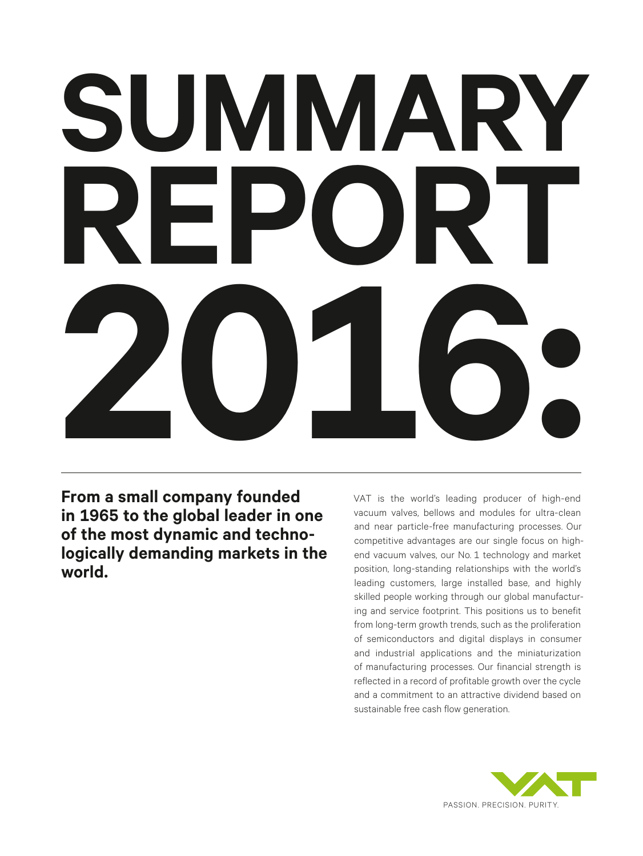# **SUMMARY REPORT 2016:**

**From a small company founded in 1965 to the global leader in one of the most dynamic and technologically demanding markets in the world.**

VAT is the world's leading producer of high-end vacuum valves, bellows and modules for ultra-clean and near particle-free manufacturing processes. Our competitive advantages are our single focus on highend vacuum valves, our No. 1 technology and market position, long-standing relationships with the world's leading customers, large installed base, and highly skilled people working through our global manufacturing and service footprint. This positions us to benefit from long-term growth trends, such as the proliferation of semiconductors and digital displays in consumer and industrial applications and the miniaturization of manufacturing processes. Our financial strength is reflected in a record of profitable growth over the cycle and a commitment to an attractive dividend based on sustainable free cash flow generation.

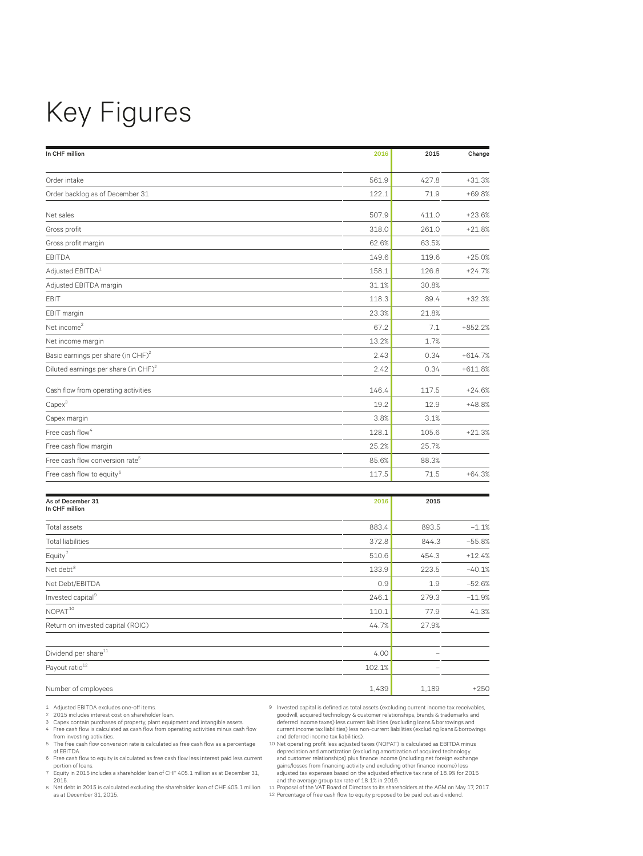## Key Figures

| In CHF million                                   | 2016  | 2015  | Change    |
|--------------------------------------------------|-------|-------|-----------|
|                                                  |       |       |           |
| Order intake                                     | 561.9 | 427.8 | $+31.3%$  |
| Order backlog as of December 31                  | 122.1 | 71.9  | $+69.8%$  |
| Net sales                                        | 507.9 | 411.0 | $+23.6%$  |
| Gross profit                                     | 318.0 | 261.0 | $+21.8%$  |
| Gross profit margin                              | 62.6% | 63.5% |           |
| <b>EBITDA</b>                                    | 149.6 | 119.6 | $+25.0%$  |
| Adjusted EBITDA <sup>1</sup>                     | 158.1 | 126.8 | $+24.7%$  |
| Adjusted EBITDA margin                           | 31.1% | 30.8% |           |
| EBIT                                             | 118.3 | 89.4  | $+32.3%$  |
| EBIT margin                                      | 23.3% | 21.8% |           |
| Net income <sup>2</sup>                          | 67.2  | 7.1   | $+852.2%$ |
| Net income margin                                | 13.2% | 1.7%  |           |
| Basic earnings per share (in CHF) <sup>2</sup>   | 2.43  | 0.34  | $+614.7%$ |
| Diluted earnings per share (in CHF) <sup>2</sup> | 2.42  | 0.34  | $+611.8%$ |
| Cash flow from operating activities              | 146.4 | 117.5 | $+24.6%$  |
| $Capex^3$                                        | 19.2  | 12.9  | $+48.8%$  |
| Capex margin                                     | 3.8%  | 3.1%  |           |
| Free cash flow <sup>4</sup>                      | 128.1 | 105.6 | $+21.3%$  |
| Free cash flow margin                            | 25.2% | 25.7% |           |
| Free cash flow conversion rate <sup>5</sup>      | 85.6% | 88.3% |           |
| Free cash flow to equity <sup>6</sup>            | 117.5 | 71.5  | $+64.3%$  |
|                                                  |       |       |           |

| As of December 31<br>In CHF million | 2016   | 2015  |          |
|-------------------------------------|--------|-------|----------|
| Total assets                        | 883.4  | 893.5 | $-1.1%$  |
| <b>Total liabilities</b>            | 372.8  | 844.3 | $-55.8%$ |
| Equity <sup>7</sup>                 | 510.6  | 454.3 | $+12.4%$ |
| Net debt <sup>8</sup>               | 133.9  | 223.5 | $-40.1%$ |
| Net Debt/EBITDA                     | 0.9    | 1.9   | $-52.6%$ |
| Invested capital <sup>9</sup>       | 246.1  | 279.3 | $-11.9%$ |
| NOPAT <sup>10</sup>                 | 110.1  | 77.9  | 41.3%    |
| Return on invested capital (ROIC)   | 44.7%  | 27.9% |          |
| Dividend per share <sup>11</sup>    | 4.00   |       |          |
| Payout ratio <sup>12</sup>          | 102.1% |       |          |
| Number of employees                 | 1,439  | 1,189 | $+250$   |

1 Adjusted EBITDA excludes one-off items.

- 2 2015 includes interest cost on shareholder loan. 3 Capex contain purchases of property, plant equipment and intangible assets. 4 Free cash flow is calculated as cash flow from operating activities minus cash flow from investing activities.
- 9 Invested capital is defined as total assets (excluding current income tax receivables, goodwill, acquired technology & customer relationships, brands & trademarks and deferred income taxes) less current liabilities (excluding loans & borrowings and current income tax liabilities) less non-current liabilities (excluding loans & borrowings and deferred income tax liabilities).
- 5 The free cash flow conversion rate is calculated as free cash flow as a percentage of EBITDA. 6 Free cash flow to equity is calculated as free cash flow less interest paid less current
- portion of loans. 7 Equity in 2015 includes a shareholder loan of CHF 405.1 million as at December 31, 2015.
- 8 Net debt in 2015 is calculated excluding the shareholder loan of CHF 405.1 million as at December 31, 2015.
- 10 Net operating profit less adjusted taxes (NOPAT) is calculated as EBITDA minus<br>depreciation and amortization (excluding amortization of acquired technology<br>and customer relationships) plus finance income (including net gains/losses from financing activity and excluding other finance income) less<br>adjusted tax expenses based on the adjusted effective tax rate of 18.9% for 2015<br>and the average group tax rate of 18.1% in 2016.<br>11 Proposal of

12 Percentage of free cash flow to equity proposed to be paid out as dividend.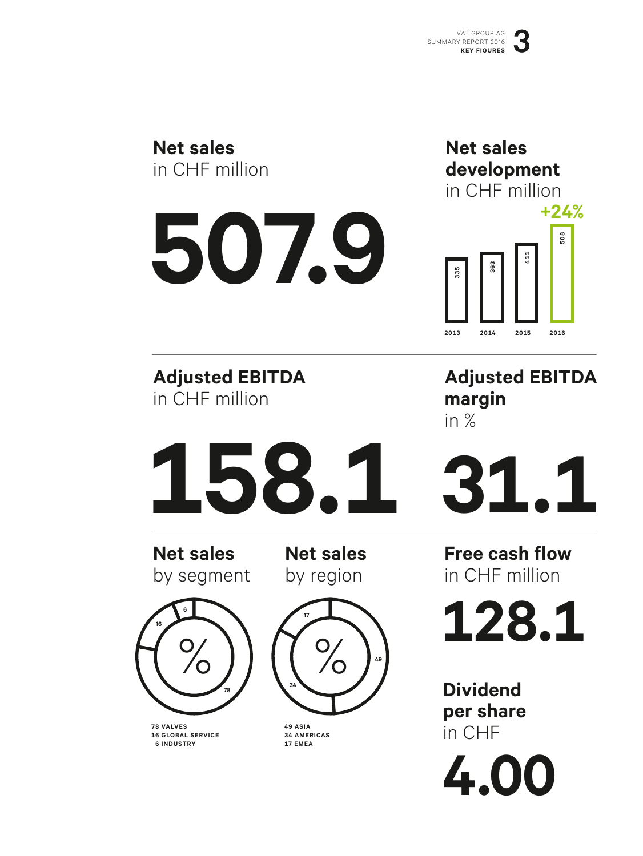| <b>Net sales</b><br>in CHF million<br>507.9                                    | <b>Net sales</b><br>development<br>in CHF million<br>$+24%$<br>508<br>363<br>335<br>2013<br>2014<br>2015<br>2016 |
|--------------------------------------------------------------------------------|------------------------------------------------------------------------------------------------------------------|
| <b>Adjusted EBITDA</b><br>in CHF million                                       | <b>Adjusted EBITDA</b><br>margin<br>in $%$                                                                       |
| 158.1                                                                          | <b>EXT</b>                                                                                                       |
| <b>Net sales</b><br><b>Net sales</b><br>by segment<br>by region                | <b>Free cash flow</b><br>in CHF million                                                                          |
| 6<br>17<br>16                                                                  | 128.1                                                                                                            |
| 49<br>34<br>49 ASIA<br><b>78 VALVES</b>                                        | <b>Dividend</b><br>per share                                                                                     |
| <b>16 GLOBAL SERVICE</b><br><b>34 AMERICAS</b><br><b>6 INDUSTRY</b><br>17 EMEA | in CHF<br>4.00                                                                                                   |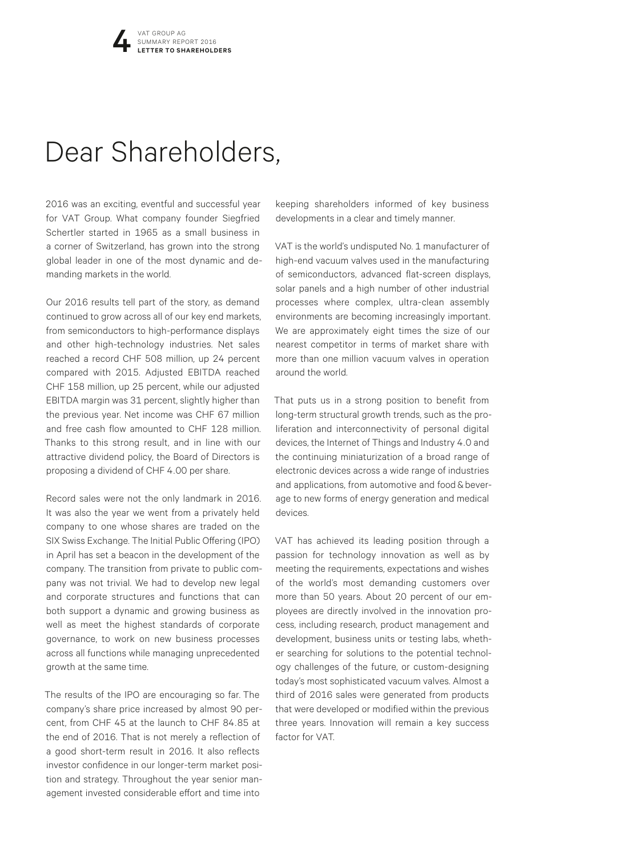## Dear Shareholders,

2016 was an exciting, eventful and successful year for VAT Group. What company founder Siegfried Schertler started in 1965 as a small business in a corner of Switzerland, has grown into the strong global leader in one of the most dynamic and demanding markets in the world.

Our 2016 results tell part of the story, as demand continued to grow across all of our key end markets, from semiconductors to high-performance displays and other high-technology industries. Net sales reached a record CHF 508 million, up 24 percent compared with 2015. Adjusted EBITDA reached CHF 158 million, up 25 percent, while our adjusted EBITDA margin was 31 percent, slightly higher than the previous year. Net income was CHF 67 million and free cash flow amounted to CHF 128 million. Thanks to this strong result, and in line with our attractive dividend policy, the Board of Directors is proposing a dividend of CHF 4.00 per share.

Record sales were not the only landmark in 2016. It was also the year we went from a privately held company to one whose shares are traded on the SIX Swiss Exchange. The Initial Public Offering (IPO) in April has set a beacon in the development of the company. The transition from private to public company was not trivial. We had to develop new legal and corporate structures and functions that can both support a dynamic and growing business as well as meet the highest standards of corporate governance, to work on new business processes across all functions while managing unprecedented growth at the same time.

The results of the IPO are encouraging so far. The company's share price increased by almost 90 percent, from CHF 45 at the launch to CHF 84.85 at the end of 2016. That is not merely a reflection of a good short-term result in 2016. It also reflects investor confidence in our longer-term market position and strategy. Throughout the year senior management invested considerable effort and time into

keeping shareholders informed of key business developments in a clear and timely manner.

VAT is the world's undisputed No. 1 manufacturer of high-end vacuum valves used in the manufacturing of semiconductors, advanced flat-screen displays, solar panels and a high number of other industrial processes where complex, ultra-clean assembly environments are becoming increasingly important. We are approximately eight times the size of our nearest competitor in terms of market share with more than one million vacuum valves in operation around the world.

That puts us in a strong position to benefit from long-term structural growth trends, such as the proliferation and interconnectivity of personal digital devices, the Internet of Things and Industry 4.0 and the continuing miniaturization of a broad range of electronic devices across a wide range of industries and applications, from automotive and food & beverage to new forms of energy generation and medical devices.

VAT has achieved its leading position through a passion for technology innovation as well as by meeting the requirements, expectations and wishes of the world's most demanding customers over more than 50 years. About 20 percent of our employees are directly involved in the innovation process, including research, product management and development, business units or testing labs, whether searching for solutions to the potential technology challenges of the future, or custom-designing today's most sophisticated vacuum valves. Almost a third of 2016 sales were generated from products that were developed or modified within the previous three years. Innovation will remain a key success factor for VAT.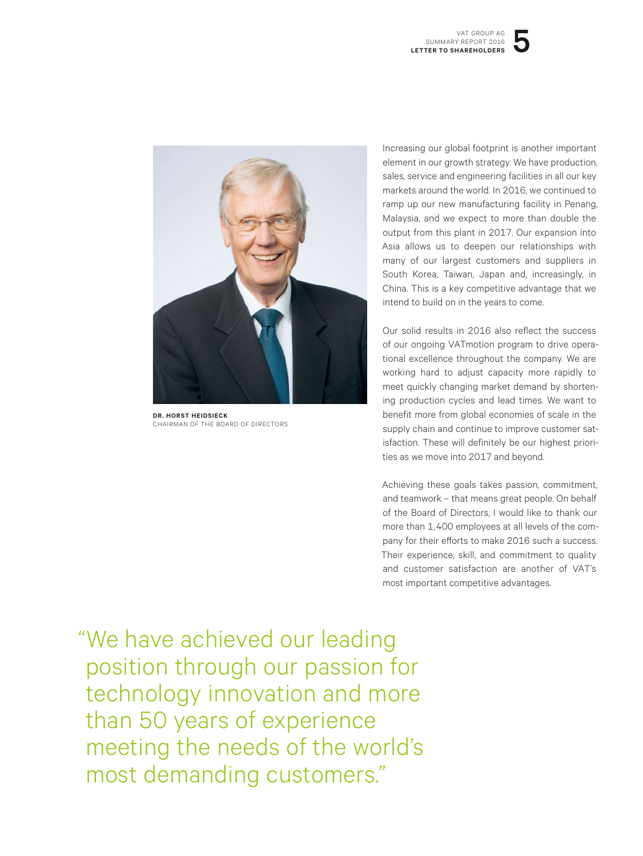

**DR. HORST HEIDSIECK** CHAIRMAN OF THE BOARD OF DIRECTORS

Increasing our global footprint is another important element in our growth strategy. We have production, sales, service and engineering facilities in all our key markets around the world. In 2016, we continued to ramp up our new manufacturing facility in Penang, Malaysia, and we expect to more than double the output from this plant in 2017. Our expansion into Asia allows us to deepen our relationships with many of our largest customers and suppliers in South Korea, Taiwan, Japan and, increasingly, in China. This is a key competitive advantage that we intend to build on in the years to come.

Our solid results in 2016 also reflect the success of our ongoing VATmotion program to drive operational excellence throughout the company. We are working hard to adjust capacity more rapidly to meet quickly changing market demand by shortening production cycles and lead times. We want to benefit more from global economies of scale in the supply chain and continue to improve customer satisfaction. These will definitely be our highest priorities as we move into 2017 and beyond.

Achieving these goals takes passion, commitment, and teamwork – that means great people. On behalf of the Board of Directors, I would like to thank our more than 1,400 employees at all levels of the company for their efforts to make 2016 such a success. Their experience, skill, and commitment to quality and customer satisfaction are another of VAT's most important competitive advantages.

 "We have achieved our leading position through our passion for technology innovation and more than 50 years of experience meeting the needs of the world's most demanding customers."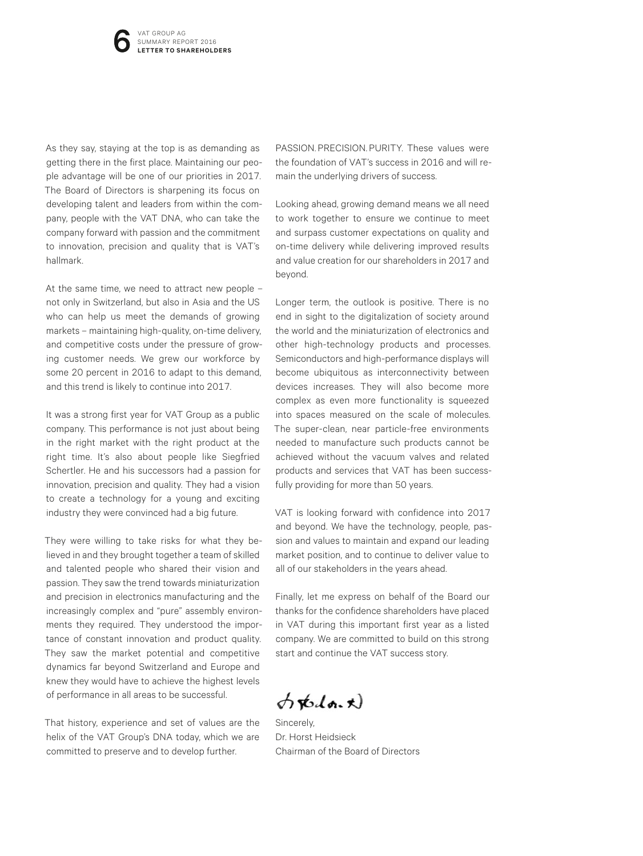As they say, staying at the top is as demanding as getting there in the first place. Maintaining our people advantage will be one of our priorities in 2017. The Board of Directors is sharpening its focus on developing talent and leaders from within the company, people with the VAT DNA, who can take the company forward with passion and the commitment to innovation, precision and quality that is VAT's hallmark.

At the same time, we need to attract new people – not only in Switzerland, but also in Asia and the US who can help us meet the demands of growing markets – maintaining high-quality, on-time delivery, and competitive costs under the pressure of growing customer needs. We grew our workforce by some 20 percent in 2016 to adapt to this demand, and this trend is likely to continue into 2017.

It was a strong first year for VAT Group as a public company. This performance is not just about being in the right market with the right product at the right time. It's also about people like Siegfried Schertler. He and his successors had a passion for innovation, precision and quality. They had a vision to create a technology for a young and exciting industry they were convinced had a big future.

They were willing to take risks for what they believed in and they brought together a team of skilled and talented people who shared their vision and passion. They saw the trend towards miniaturization and precision in electronics manufacturing and the increasingly complex and "pure" assembly environments they required. They understood the importance of constant innovation and product quality. They saw the market potential and competitive dynamics far beyond Switzerland and Europe and knew they would have to achieve the highest levels of performance in all areas to be successful.

That history, experience and set of values are the helix of the VAT Group's DNA today, which we are committed to preserve and to develop further.

PASSION. PRECISION. PURITY. These values were the foundation of VAT's success in 2016 and will remain the underlying drivers of success.

Looking ahead, growing demand means we all need to work together to ensure we continue to meet and surpass customer expectations on quality and on-time delivery while delivering improved results and value creation for our shareholders in 2017 and beyond.

Longer term, the outlook is positive. There is no end in sight to the digitalization of society around the world and the miniaturization of electronics and other high-technology products and processes. Semiconductors and high-performance displays will become ubiquitous as interconnectivity between devices increases. They will also become more complex as even more functionality is squeezed into spaces measured on the scale of molecules. The super-clean, near particle-free environments needed to manufacture such products cannot be achieved without the vacuum valves and related products and services that VAT has been successfully providing for more than 50 years.

VAT is looking forward with confidence into 2017 and beyond. We have the technology, people, passion and values to maintain and expand our leading market position, and to continue to deliver value to all of our stakeholders in the years ahead.

Finally, let me express on behalf of the Board our thanks for the confidence shareholders have placed in VAT during this important first year as a listed company. We are committed to build on this strong start and continue the VAT success story.

 $\phi$ rodo.t)

Sincerely, Dr. Horst Heidsieck Chairman of the Board of Directors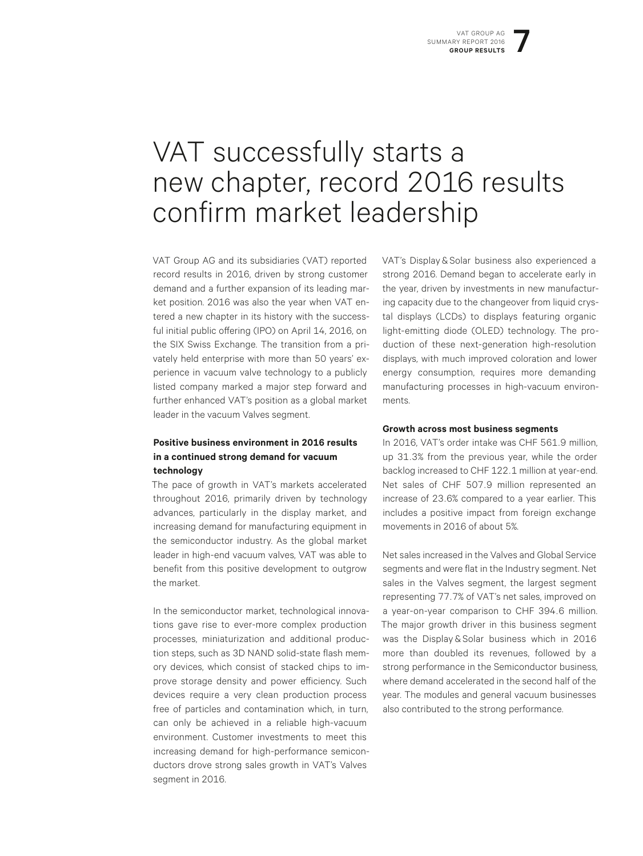## VAT successfully starts a new chapter, record 2016 results confirm market leadership

VAT Group AG and its subsidiaries (VAT) reported record results in 2016, driven by strong customer demand and a further expansion of its leading market position. 2016 was also the year when VAT entered a new chapter in its history with the successful initial public offering (IPO) on April 14, 2016, on the SIX Swiss Exchange. The transition from a privately held enterprise with more than 50 years' experience in vacuum valve technology to a publicly listed company marked a major step forward and further enhanced VAT's position as a global market leader in the vacuum Valves segment.

#### **Positive business environment in 2016 results in a continued strong demand for vacuum technology**

The pace of growth in VAT's markets accelerated throughout 2016, primarily driven by technology advances, particularly in the display market, and increasing demand for manufacturing equipment in the semiconductor industry. As the global market leader in high-end vacuum valves, VAT was able to benefit from this positive development to outgrow the market.

In the semiconductor market, technological innovations gave rise to ever-more complex production processes, miniaturization and additional production steps, such as 3D NAND solid-state flash memory devices, which consist of stacked chips to improve storage density and power efficiency. Such devices require a very clean production process free of particles and contamination which, in turn, can only be achieved in a reliable high-vacuum environment. Customer investments to meet this increasing demand for high-performance semiconductors drove strong sales growth in VAT's Valves segment in 2016.

VAT's Display & Solar business also experienced a strong 2016. Demand began to accelerate early in the year, driven by investments in new manufacturing capacity due to the changeover from liquid crystal displays (LCDs) to displays featuring organic light-emitting diode (OLED) technology. The production of these next-generation high-resolution displays, with much improved coloration and lower energy consumption, requires more demanding manufacturing processes in high-vacuum environments.

#### **Growth across most business segments**

In 2016, VAT's order intake was CHF 561.9 million, up 31.3% from the previous year, while the order backlog increased to CHF 122.1 million at year-end. Net sales of CHF 507.9 million represented an increase of 23.6% compared to a year earlier. This includes a positive impact from foreign exchange movements in 2016 of about 5%.

Net sales increased in the Valves and Global Service segments and were flat in the Industry segment. Net sales in the Valves segment, the largest segment representing 77.7% of VAT's net sales, improved on a year-on-year comparison to CHF 394.6 million. The major growth driver in this business segment was the Display & Solar business which in 2016 more than doubled its revenues, followed by a strong performance in the Semiconductor business, where demand accelerated in the second half of the year. The modules and general vacuum businesses also contributed to the strong performance.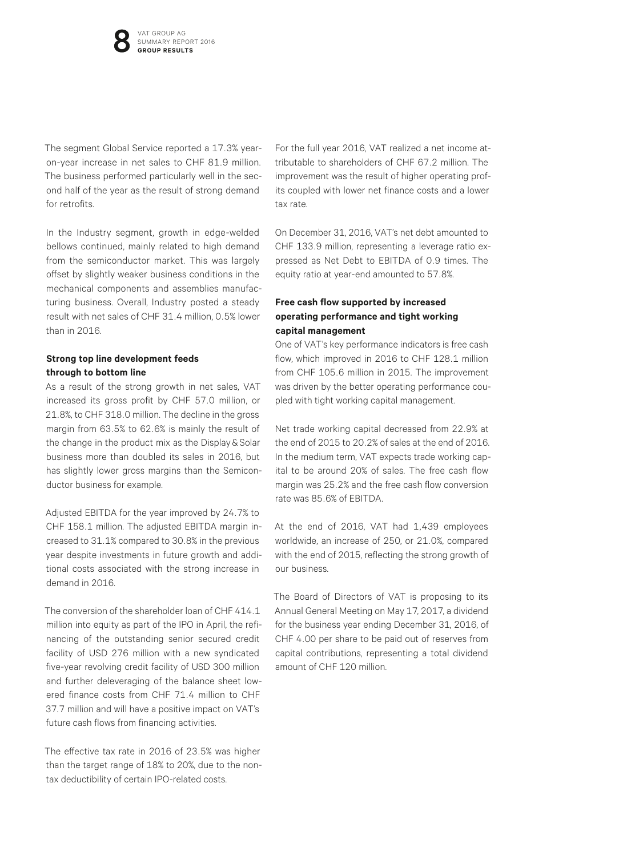The segment Global Service reported a 17.3% yearon-year increase in net sales to CHF 81.9 million. The business performed particularly well in the second half of the year as the result of strong demand for retrofits.

In the Industry segment, growth in edge-welded bellows continued, mainly related to high demand from the semiconductor market. This was largely offset by slightly weaker business conditions in the mechanical components and assemblies manufacturing business. Overall, Industry posted a steady result with net sales of CHF 31.4 million, 0.5% lower than in 2016.

#### **Strong top line development feeds through to bottom line**

As a result of the strong growth in net sales, VAT increased its gross profit by CHF 57.0 million, or 21.8%, to CHF 318.0 million. The decline in the gross margin from 63.5% to 62.6% is mainly the result of the change in the product mix as the Display & Solar business more than doubled its sales in 2016, but has slightly lower gross margins than the Semiconductor business for example.

Adjusted EBITDA for the year improved by 24.7% to CHF 158.1 million. The adjusted EBITDA margin increased to 31.1% compared to 30.8% in the previous year despite investments in future growth and additional costs associated with the strong increase in demand in 2016.

The conversion of the shareholder loan of CHF 414.1 million into equity as part of the IPO in April, the refinancing of the outstanding senior secured credit facility of USD 276 million with a new syndicated five-year revolving credit facility of USD 300 million and further deleveraging of the balance sheet lowered finance costs from CHF 71.4 million to CHF 37.7 million and will have a positive impact on VAT's future cash flows from financing activities.

The effective tax rate in 2016 of 23.5% was higher than the target range of 18% to 20%, due to the nontax deductibility of certain IPO-related costs.

For the full year 2016, VAT realized a net income attributable to shareholders of CHF 67.2 million. The improvement was the result of higher operating profits coupled with lower net finance costs and a lower tax rate.

On December 31, 2016, VAT's net debt amounted to CHF 133.9 million, representing a leverage ratio expressed as Net Debt to EBITDA of 0.9 times. The equity ratio at year-end amounted to 57.8%.

#### **Free cash flow supported by increased operating performance and tight working capital management**

One of VAT's key performance indicators is free cash flow, which improved in 2016 to CHF 128.1 million from CHF 105.6 million in 2015. The improvement was driven by the better operating performance coupled with tight working capital management.

Net trade working capital decreased from 22.9% at the end of 2015 to 20.2% of sales at the end of 2016. In the medium term, VAT expects trade working capital to be around 20% of sales. The free cash flow margin was 25.2% and the free cash flow conversion rate was 85.6% of EBITDA.

At the end of 2016, VAT had 1,439 employees worldwide, an increase of 250, or 21.0%, compared with the end of 2015, reflecting the strong growth of our business.

The Board of Directors of VAT is proposing to its Annual General Meeting on May 17, 2017, a dividend for the business year ending December 31, 2016, of CHF 4.00 per share to be paid out of reserves from capital contributions, representing a total dividend amount of CHF 120 million.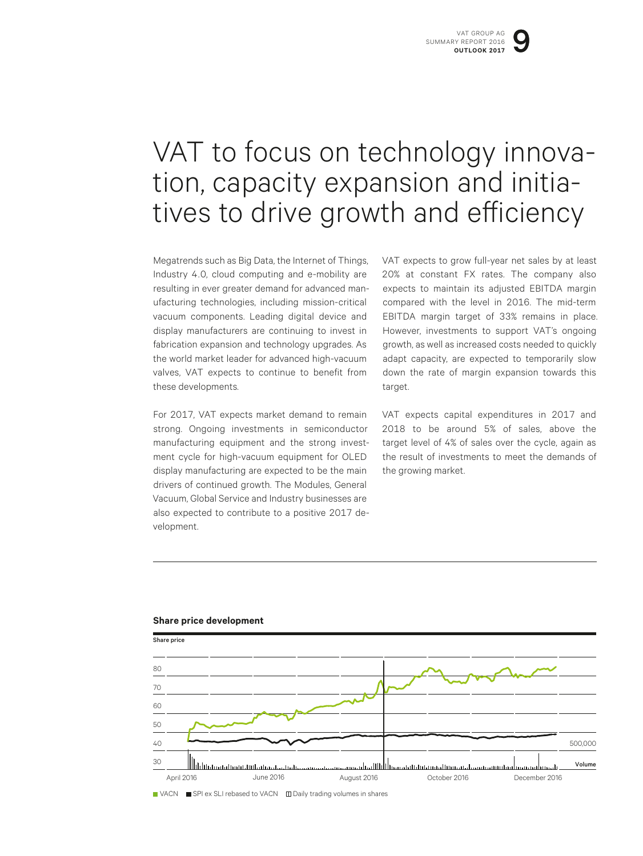## VAT to focus on technology innova-<br>tion, capacity expansion and initia-<br>tives to drive growth and efficiency

Megatrends such as Big Data, the Internet of Things, Industry 4.0, cloud computing and e-mobility are resulting in ever greater demand for advanced manufacturing technologies, including mission-critical vacuum components. Leading digital device and display manufacturers are continuing to invest in fabrication expansion and technology upgrades. As the world market leader for advanced high-vacuum valves, VAT expects to continue to benefit from these developments.

For 2017, VAT expects market demand to remain strong. Ongoing investments in semiconductor manufacturing equipment and the strong investment cycle for high-vacuum equipment for OLED display manufacturing are expected to be the main drivers of continued growth. The Modules, General Vacuum, Global Service and Industry businesses are also expected to contribute to a positive 2017 development.

VAT expects to grow full-year net sales by at least 20% at constant FX rates. The company also expects to maintain its adjusted EBITDA margin compared with the level in 2016. The mid-term EBITDA margin target of 33% remains in place. However, investments to support VAT's ongoing growth, as well as increased costs needed to quickly adapt capacity, are expected to temporarily slow down the rate of margin expansion towards this target.

VAT expects capital expenditures in 2017 and 2018 to be around 5% of sales, above the target level of 4% of sales over the cycle, again as the result of investments to meet the demands of the growing market.



#### **Share price development**

VACN ■ SPI ex SLI rebased to VACN 
□ Daily trading volumes in shares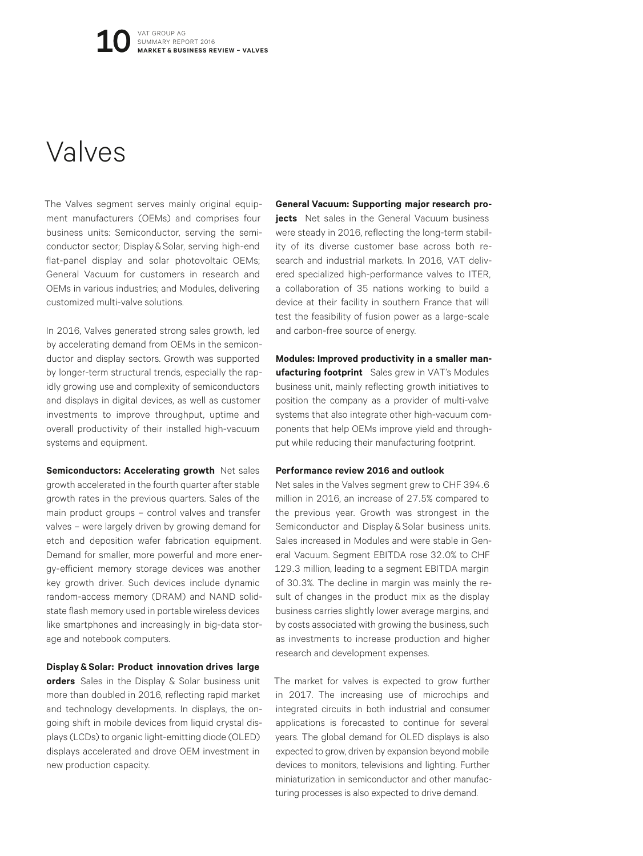#### Valves

The Valves segment serves mainly original equipment manufacturers (OEMs) and comprises four business units: Semiconductor, serving the semiconductor sector; Display & Solar, serving high-end flat-panel display and solar photovoltaic OEMs; General Vacuum for customers in research and OEMs in various industries; and Modules, delivering customized multi-valve solutions.

In 2016, Valves generated strong sales growth, led by accelerating demand from OEMs in the semiconductor and display sectors. Growth was supported by longer-term structural trends, especially the rapidly growing use and complexity of semiconductors and displays in digital devices, as well as customer investments to improve throughput, uptime and overall productivity of their installed high-vacuum systems and equipment.

**Semiconductors: Accelerating growth** Net sales growth accelerated in the fourth quarter after stable growth rates in the previous quarters. Sales of the main product groups – control valves and transfer valves – were largely driven by growing demand for etch and deposition wafer fabrication equipment. Demand for smaller, more powerful and more energy-efficient memory storage devices was another key growth driver. Such devices include dynamic random-access memory (DRAM) and NAND solidstate flash memory used in portable wireless devices like smartphones and increasingly in big-data storage and notebook computers.

**Display&Solar: Product innovation drives large orders** Sales in the Display & Solar business unit more than doubled in 2016, reflecting rapid market and technology developments. In displays, the ongoing shift in mobile devices from liquid crystal displays (LCDs) to organic light-emitting diode (OLED) displays accelerated and drove OEM investment in new production capacity.

**General Vacuum: Supporting major research projects** Net sales in the General Vacuum business were steady in 2016, reflecting the long-term stability of its diverse customer base across both research and industrial markets. In 2016, VAT delivered specialized high-performance valves to ITER, a collaboration of 35 nations working to build a device at their facility in southern France that will test the feasibility of fusion power as a large-scale and carbon-free source of energy.

**Modules: Improved productivity in a smaller manufacturing footprint** Sales grew in VAT's Modules business unit, mainly reflecting growth initiatives to position the company as a provider of multi-valve systems that also integrate other high-vacuum components that help OEMs improve yield and throughput while reducing their manufacturing footprint.

#### **Performance review 2016 and outlook**

Net sales in the Valves segment grew to CHF 394.6 million in 2016, an increase of 27.5% compared to the previous year. Growth was strongest in the Semiconductor and Display & Solar business units. Sales increased in Modules and were stable in General Vacuum. Segment EBITDA rose 32.0% to CHF 129.3 million, leading to a segment EBITDA margin of 30.3%. The decline in margin was mainly the result of changes in the product mix as the display business carries slightly lower average margins, and by costs associated with growing the business, such as investments to increase production and higher research and development expenses.

The market for valves is expected to grow further in 2017. The increasing use of microchips and integrated circuits in both industrial and consumer applications is forecasted to continue for several years. The global demand for OLED displays is also expected to grow, driven by expansion beyond mobile devices to monitors, televisions and lighting. Further miniaturization in semiconductor and other manufacturing processes is also expected to drive demand.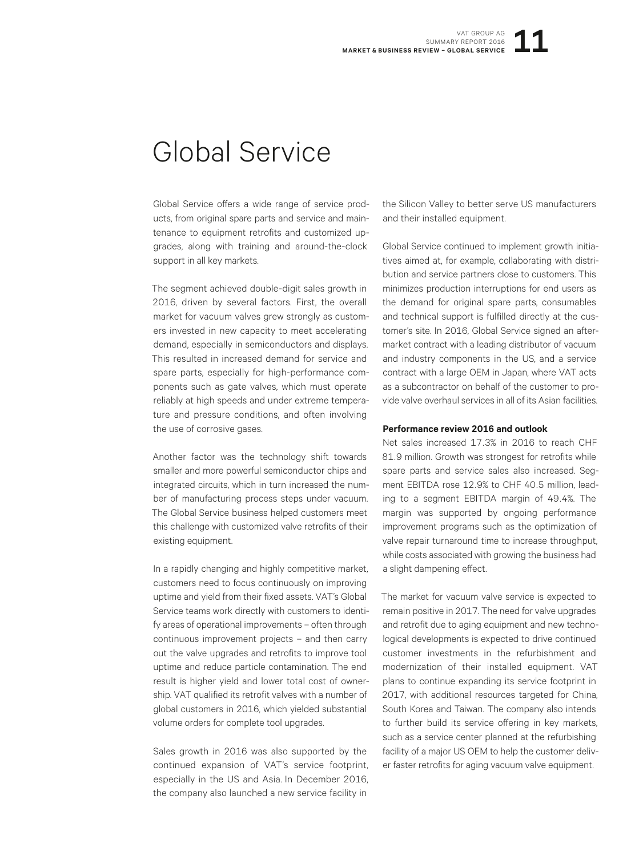#### Global Service

Global Service offers a wide range of service products, from original spare parts and service and maintenance to equipment retrofits and customized upgrades, along with training and around-the-clock support in all key markets.

The segment achieved double-digit sales growth in 2016, driven by several factors. First, the overall market for vacuum valves grew strongly as customers invested in new capacity to meet accelerating demand, especially in semiconductors and displays. This resulted in increased demand for service and spare parts, especially for high-performance components such as gate valves, which must operate reliably at high speeds and under extreme temperature and pressure conditions, and often involving the use of corrosive gases.

Another factor was the technology shift towards smaller and more powerful semiconductor chips and integrated circuits, which in turn increased the number of manufacturing process steps under vacuum. The Global Service business helped customers meet this challenge with customized valve retrofits of their existing equipment.

In a rapidly changing and highly competitive market, customers need to focus continuously on improving uptime and yield from their fixed assets. VAT's Global Service teams work directly with customers to identify areas of operational improvements – often through continuous improvement projects – and then carry out the valve upgrades and retrofits to improve tool uptime and reduce particle contamination. The end result is higher yield and lower total cost of ownership. VAT qualified its retrofit valves with a number of global customers in 2016, which yielded substantial volume orders for complete tool upgrades.

Sales growth in 2016 was also supported by the continued expansion of VAT's service footprint, especially in the US and Asia. In December 2016, the company also launched a new service facility in

the Silicon Valley to better serve US manufacturers and their installed equipment.

Global Service continued to implement growth initiatives aimed at, for example, collaborating with distribution and service partners close to customers. This minimizes production interruptions for end users as the demand for original spare parts, consumables and technical support is fulfilled directly at the customer's site. In 2016, Global Service signed an aftermarket contract with a leading distributor of vacuum and industry components in the US, and a service contract with a large OEM in Japan, where VAT acts as a subcontractor on behalf of the customer to provide valve overhaul services in all of its Asian facilities.

#### **Performance review 2016 and outlook**

Net sales increased 17.3% in 2016 to reach CHF 81.9 million. Growth was strongest for retrofits while spare parts and service sales also increased. Segment EBITDA rose 12.9% to CHF 40.5 million, leading to a segment EBITDA margin of 49.4%. The margin was supported by ongoing performance improvement programs such as the optimization of valve repair turnaround time to increase throughput, while costs associated with growing the business had a slight dampening effect.

The market for vacuum valve service is expected to remain positive in 2017. The need for valve upgrades and retrofit due to aging equipment and new technological developments is expected to drive continued customer investments in the refurbishment and modernization of their installed equipment. VAT plans to continue expanding its service footprint in 2017, with additional resources targeted for China, South Korea and Taiwan. The company also intends to further build its service offering in key markets, such as a service center planned at the refurbishing facility of a major US OEM to help the customer deliver faster retrofits for aging vacuum valve equipment.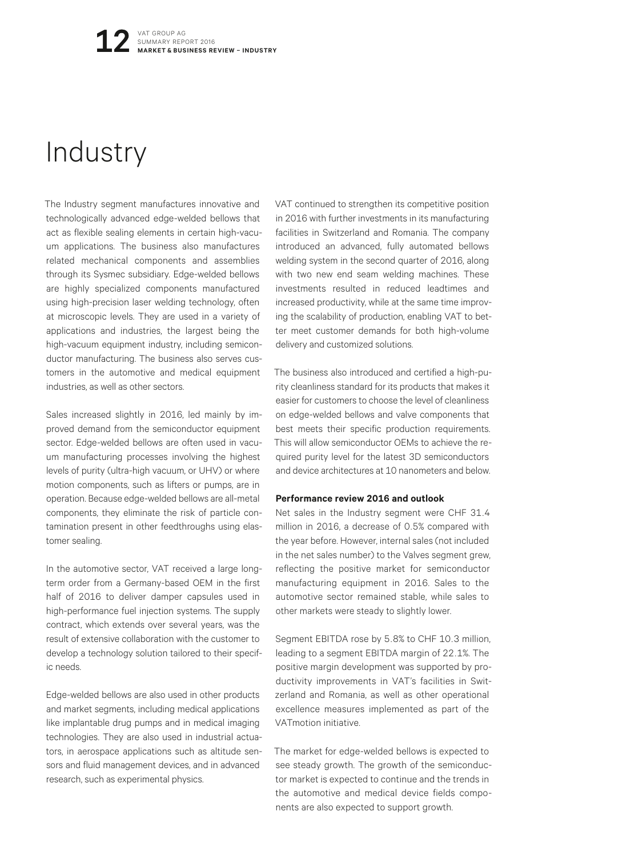## Industry

The Industry segment manufactures innovative and technologically advanced edge-welded bellows that act as flexible sealing elements in certain high-vacuum applications. The business also manufactures related mechanical components and assemblies through its Sysmec subsidiary. Edge-welded bellows are highly specialized components manufactured using high-precision laser welding technology, often at microscopic levels. They are used in a variety of applications and industries, the largest being the high-vacuum equipment industry, including semiconductor manufacturing. The business also serves customers in the automotive and medical equipment industries, as well as other sectors.

Sales increased slightly in 2016, led mainly by improved demand from the semiconductor equipment sector. Edge-welded bellows are often used in vacuum manufacturing processes involving the highest levels of purity (ultra-high vacuum, or UHV) or where motion components, such as lifters or pumps, are in operation. Because edge-welded bellows are all-metal components, they eliminate the risk of particle contamination present in other feedthroughs using elastomer sealing.

In the automotive sector, VAT received a large longterm order from a Germany-based OEM in the first half of 2016 to deliver damper capsules used in high-performance fuel injection systems. The supply contract, which extends over several years, was the result of extensive collaboration with the customer to develop a technology solution tailored to their specific needs.

Edge-welded bellows are also used in other products and market segments, including medical applications like implantable drug pumps and in medical imaging technologies. They are also used in industrial actuators, in aerospace applications such as altitude sensors and fluid management devices, and in advanced research, such as experimental physics.

VAT continued to strengthen its competitive position in 2016 with further investments in its manufacturing facilities in Switzerland and Romania. The company introduced an advanced, fully automated bellows welding system in the second quarter of 2016, along with two new end seam welding machines. These investments resulted in reduced leadtimes and increased productivity, while at the same time improving the scalability of production, enabling VAT to better meet customer demands for both high-volume delivery and customized solutions.

The business also introduced and certified a high-purity cleanliness standard for its products that makes it easier for customers to choose the level of cleanliness on edge-welded bellows and valve components that best meets their specific production requirements. This will allow semiconductor OEMs to achieve the required purity level for the latest 3D semiconductors and device architectures at 10 nanometers and below.

#### **Performance review 2016 and outlook**

Net sales in the Industry segment were CHF 31.4 million in 2016, a decrease of 0.5% compared with the year before. However, internal sales (not included in the net sales number) to the Valves segment grew, reflecting the positive market for semiconductor manufacturing equipment in 2016. Sales to the automotive sector remained stable, while sales to other markets were steady to slightly lower.

Segment EBITDA rose by 5.8% to CHF 10.3 million, leading to a segment EBITDA margin of 22.1%. The positive margin development was supported by productivity improvements in VAT's facilities in Switzerland and Romania, as well as other operational excellence measures implemented as part of the VATmotion initiative.

The market for edge-welded bellows is expected to see steady growth. The growth of the semiconductor market is expected to continue and the trends in the automotive and medical device fields components are also expected to support growth.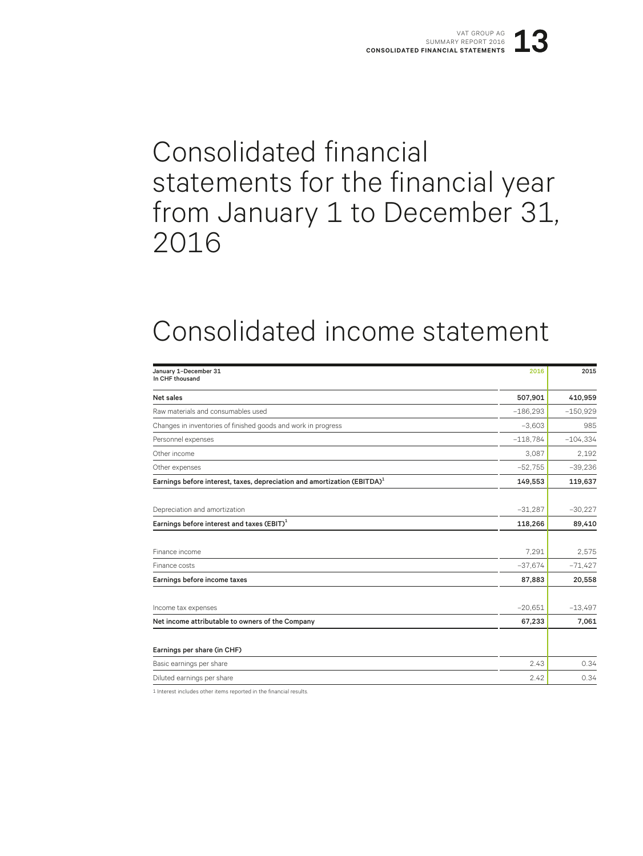## Consolidated financial statements for the financial year from January 1 to December 31, 2016

## Consolidated income statement

| January 1-December 31<br>In CHF thousand                                             | 2016       | 2015       |
|--------------------------------------------------------------------------------------|------------|------------|
| Net sales                                                                            | 507,901    | 410,959    |
| Raw materials and consumables used                                                   | $-186,293$ | $-150,929$ |
| Changes in inventories of finished goods and work in progress                        | $-3,603$   | 985        |
| Personnel expenses                                                                   | $-118,784$ | $-104,334$ |
| Other income                                                                         | 3.087      | 2.192      |
| Other expenses                                                                       | $-52,755$  | $-39,236$  |
| Earnings before interest, taxes, depreciation and amortization (EBITDA) <sup>1</sup> | 149,553    | 119,637    |
|                                                                                      |            |            |
| Depreciation and amortization                                                        | $-31,287$  | $-30,227$  |
| Earnings before interest and taxes $(EBIT)^1$                                        | 118,266    | 89,410     |
|                                                                                      |            |            |
| Finance income                                                                       | 7.291      | 2,575      |
| Finance costs                                                                        | $-37,674$  | $-71,427$  |
| Earnings before income taxes                                                         | 87,883     | 20,558     |
|                                                                                      |            |            |
| Income tax expenses                                                                  | $-20,651$  | $-13,497$  |
| Net income attributable to owners of the Company                                     | 67,233     | 7,061      |
| Earnings per share (in CHF)                                                          |            |            |
| Basic earnings per share                                                             | 2.43       | 0.34       |
| Diluted earnings per share                                                           | 2.42       | 0.34       |

1 Interest includes other items reported in the financial results.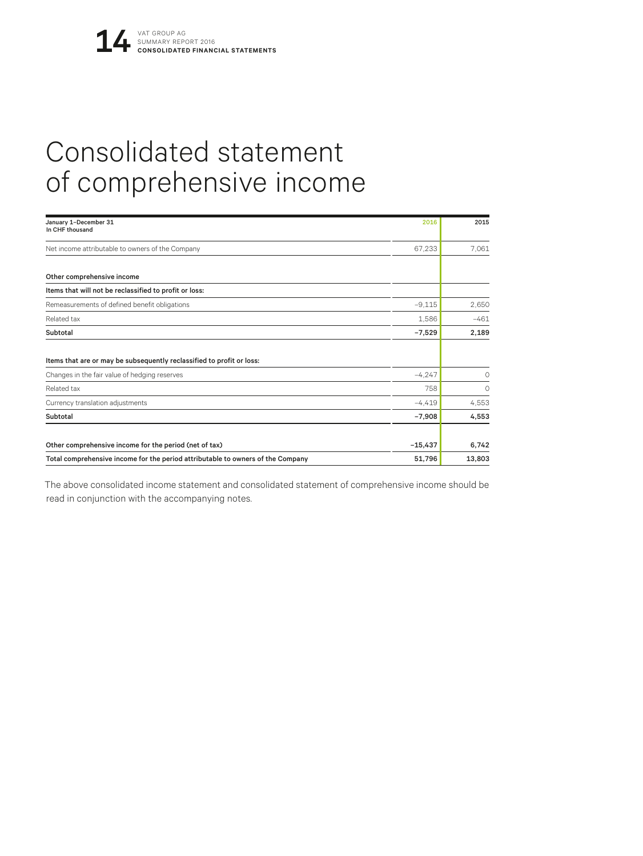## Consolidated statement of comprehensive income

| January 1-December 31<br>In CHF thousand                                        | 2016      | 2015   |
|---------------------------------------------------------------------------------|-----------|--------|
| Net income attributable to owners of the Company                                | 67,233    | 7.061  |
| Other comprehensive income                                                      |           |        |
| Items that will not be reclassified to profit or loss:                          |           |        |
| Remeasurements of defined benefit obligations                                   | $-9.115$  | 2,650  |
| Related tax                                                                     | 1,586     | $-461$ |
| Subtotal                                                                        | $-7,529$  | 2,189  |
| Items that are or may be subsequently reclassified to profit or loss:           |           |        |
| Changes in the fair value of hedging reserves                                   | $-4.247$  | 0      |
| Related tax                                                                     | 758       | 0      |
| Currency translation adjustments                                                | $-4.419$  | 4,553  |
| Subtotal                                                                        | $-7,908$  | 4,553  |
| Other comprehensive income for the period (net of tax)                          | $-15,437$ | 6,742  |
| Total comprehensive income for the period attributable to owners of the Company | 51,796    | 13,803 |

The above consolidated income statement and consolidated statement of comprehensive income should be read in conjunction with the accompanying notes.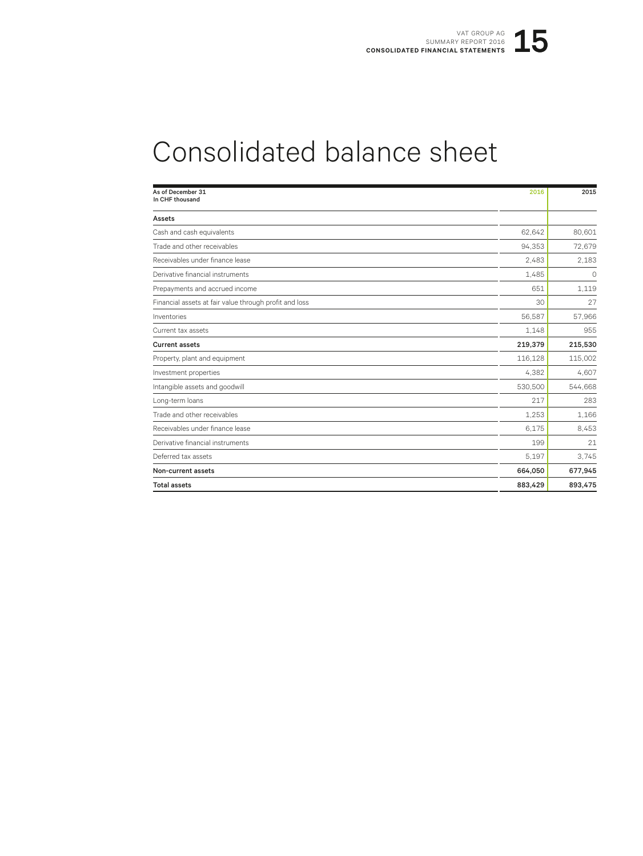## Consolidated balance sheet

| As of December 31<br>In CHF thousand                   | 2016    | 2015    |
|--------------------------------------------------------|---------|---------|
| Assets                                                 |         |         |
| Cash and cash equivalents                              | 62,642  | 80,601  |
| Trade and other receivables                            | 94.353  | 72,679  |
| Receivables under finance lease                        | 2.483   | 2.183   |
| Derivative financial instruments                       | 1,485   | 0       |
| Prepayments and accrued income                         | 651     | 1,119   |
| Financial assets at fair value through profit and loss | 30      | 27      |
| Inventories                                            | 56,587  | 57,966  |
| Current tax assets                                     | 1.148   | 955     |
| <b>Current assets</b>                                  | 219,379 | 215,530 |
| Property, plant and equipment                          | 116,128 | 115,002 |
| Investment properties                                  | 4,382   | 4,607   |
| Intangible assets and goodwill                         | 530,500 | 544,668 |
| Long-term loans                                        | 217     | 283     |
| Trade and other receivables                            | 1.253   | 1,166   |
| Receivables under finance lease                        | 6.175   | 8,453   |
| Derivative financial instruments                       | 199     | 21      |
| Deferred tax assets                                    | 5.197   | 3.745   |
| Non-current assets                                     | 664,050 | 677,945 |
| <b>Total assets</b>                                    | 883,429 | 893,475 |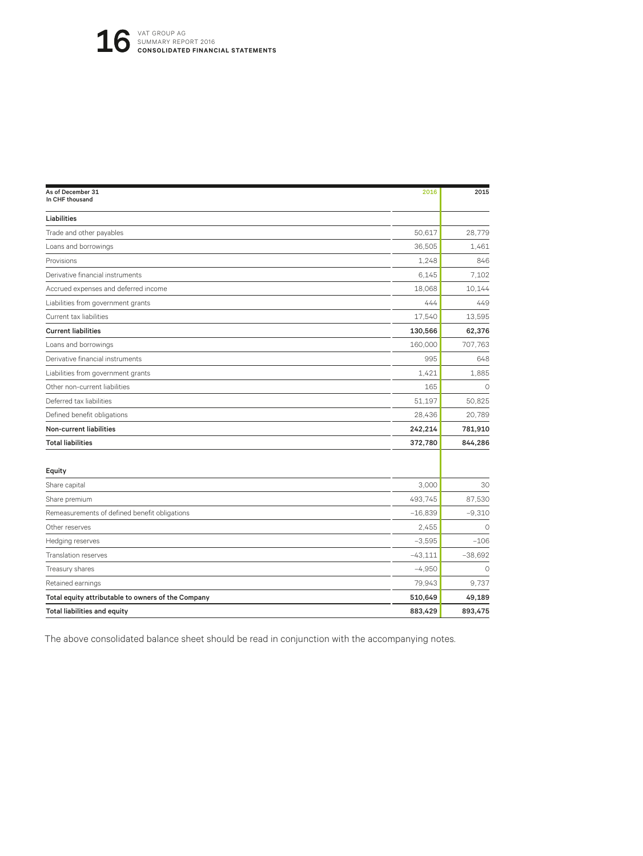| As of December 31<br>In CHF thousand               | 2016      | 2015      |
|----------------------------------------------------|-----------|-----------|
| Liabilities                                        |           |           |
| Trade and other payables                           | 50.617    | 28.779    |
| Loans and borrowings                               | 36,505    | 1,461     |
| Provisions                                         | 1,248     | 846       |
| Derivative financial instruments                   | 6.145     | 7.102     |
| Accrued expenses and deferred income               | 18,068    | 10.144    |
| Liabilities from government grants                 | 444       | 449       |
| Current tax liabilities                            | 17,540    | 13,595    |
| <b>Current liabilities</b>                         | 130,566   | 62,376    |
| Loans and borrowings                               | 160,000   | 707,763   |
| Derivative financial instruments                   | 995       | 648       |
| Liabilities from government grants                 | 1.421     | 1,885     |
| Other non-current liabilities                      | 165       | $\circ$   |
| Deferred tax liabilities                           | 51,197    | 50.825    |
| Defined benefit obligations                        | 28,436    | 20.789    |
| Non-current liabilities                            | 242,214   | 781,910   |
| <b>Total liabilities</b>                           | 372,780   | 844,286   |
| Equity                                             |           |           |
| Share capital                                      | 3,000     | 30        |
| Share premium                                      | 493,745   | 87,530    |
| Remeasurements of defined benefit obligations      | $-16.839$ | $-9,310$  |
| Other reserves                                     | 2.455     | $\circ$   |
| Hedging reserves                                   | $-3.595$  | $-106$    |
| <b>Translation reserves</b>                        | $-43,111$ | $-38,692$ |
| Treasury shares                                    | $-4,950$  | $\circ$   |
| Retained earnings                                  | 79,943    | 9,737     |
| Total equity attributable to owners of the Company | 510,649   | 49,189    |
| Total liabilities and equity                       | 883,429   | 893,475   |
|                                                    |           |           |

The above consolidated balance sheet should be read in conjunction with the accompanying notes.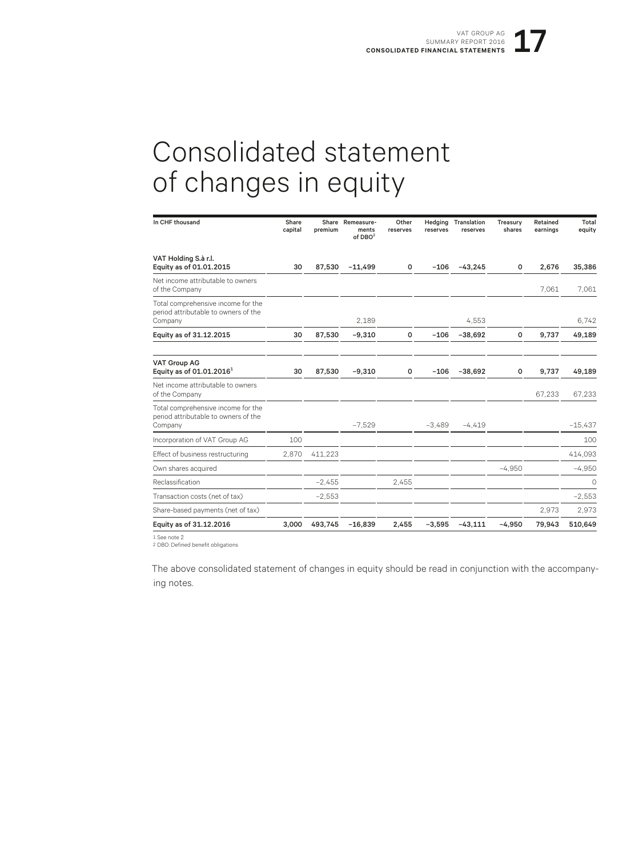## Consolidated statement of changes in equity

| In CHF thousand                                                                       | Share<br>capital | premium  | Share Remeasure-<br>ments<br>of $DBO2$ | Other<br>reserves | Hedging<br>reserves | Translation<br>reserves | Treasury<br>shares | Retained<br>earnings | Total<br>equity |
|---------------------------------------------------------------------------------------|------------------|----------|----------------------------------------|-------------------|---------------------|-------------------------|--------------------|----------------------|-----------------|
| VAT Holding S.à r.l.<br>Equity as of 01.01.2015                                       | 30               | 87.530   | $-11,499$                              | $\mathsf{o}$      | $-106$              | $-43,245$               | 0                  | 2,676                | 35,386          |
| Net income attributable to owners<br>of the Company                                   |                  |          |                                        |                   |                     |                         |                    | 7.061                | 7.061           |
| Total comprehensive income for the<br>period attributable to owners of the<br>Company |                  |          | 2.189                                  |                   |                     | 4.553                   |                    |                      | 6.742           |
| Equity as of 31.12.2015                                                               | 30               | 87,530   | $-9,310$                               | 0                 | $-106$              | $-38,692$               | 0                  | 9,737                | 49,189          |
| <b>VAT Group AG</b><br>Equity as of $01.01.20161$                                     | 30               | 87,530   | $-9,310$                               | 0                 | $-106$              | $-38,692$               | 0                  | 9,737                | 49,189          |
| Net income attributable to owners<br>of the Company                                   |                  |          |                                        |                   |                     |                         |                    | 67,233               | 67.233          |
| Total comprehensive income for the<br>period attributable to owners of the<br>Company |                  |          | $-7.529$                               |                   | $-3,489$            | $-4.419$                |                    |                      | $-15,437$       |
| Incorporation of VAT Group AG                                                         | 100              |          |                                        |                   |                     |                         |                    |                      | 100             |
| Effect of business restructuring                                                      | 2,870            | 411,223  |                                        |                   |                     |                         |                    |                      | 414,093         |
| Own shares acquired                                                                   |                  |          |                                        |                   |                     |                         | $-4,950$           |                      | $-4,950$        |
| Reclassification                                                                      |                  | $-2.455$ |                                        | 2.455             |                     |                         |                    |                      | $\Omega$        |
| Transaction costs (net of tax)                                                        |                  | $-2,553$ |                                        |                   |                     |                         |                    |                      | $-2,553$        |
| Share-based payments (net of tax)                                                     |                  |          |                                        |                   |                     |                         |                    | 2.973                | 2,973           |
| Equity as of 31.12.2016                                                               | 3.000            | 493.745  | $-16.839$                              | 2.455             | $-3.595$            | $-43.111$               | $-4.950$           | 79.943               | 510,649         |

1 See note 2 2 DBO: Defined benefit obligations

The above consolidated statement of changes in equity should be read in conjunction with the accompanying notes.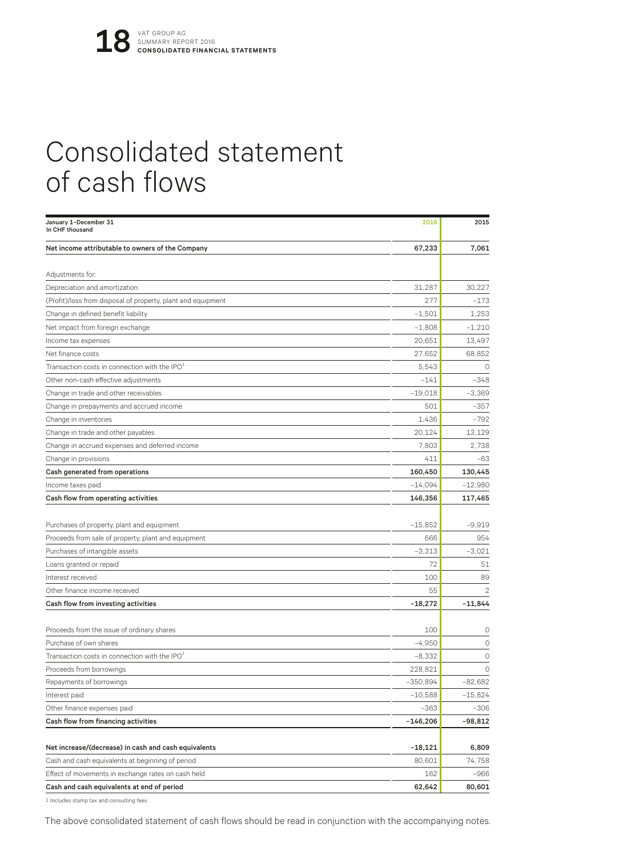## Consolidated statement of cash flows

| January 1-December 31<br>In CHF thousand                     | 2016       | 2015           |
|--------------------------------------------------------------|------------|----------------|
| Net income attributable to owners of the Company             | 67,233     | 7,061          |
| Adjustments for:                                             |            |                |
| Depreciation and amortization                                | 31,287     | 30,227         |
| (Profit)/loss from disposal of property, plant and equipment | 277        | $-173$         |
| Change in defined benefit liability                          | $-1,501$   | 1,253          |
| Net impact from foreign exchange                             | $-1,808$   | $-1,210$       |
| Income tax expenses                                          | 20,651     | 13,497         |
| Net finance costs                                            | 27,652     | 68,852         |
| Transaction costs in connection with the IPO $^{\rm 1}$      | 5.543      | $\circ$        |
| Other non-cash effective adjustments                         | $-141$     | $-348$         |
| Change in trade and other receivables                        | $-19,018$  | $-3,369$       |
| Change in prepayments and accrued income                     | 501        | $-357$         |
| Change in inventories                                        | 1,436      | $-792$         |
| Change in trade and other payables                           | 20,124     | 13,129         |
| Change in accrued expenses and deferred income               | 7,803      | 2,738          |
| Change in provisions                                         | 411        | $-63$          |
| Cash generated from operations                               | 160,450    | 130,445        |
| Income taxes paid                                            | $-14,094$  | $-12,980$      |
| Cash flow from operating activities                          | 146,356    | 117,465        |
|                                                              |            |                |
| Purchases of property, plant and equipment                   | $-15,852$  | $-9.919$       |
| Proceeds from sale of property, plant and equipment          | 666        | 954            |
| Purchases of intangible assets                               | $-3,313$   | $-3.021$       |
| Loans granted or repaid                                      | 72         | 51             |
| Interest received                                            | 100        | 89             |
| Other finance income received                                | 55         | $\overline{2}$ |
| Cash flow from investing activities                          | $-18,272$  | $-11,844$      |
|                                                              |            |                |
| Proceeds from the issue of ordinary shares                   | 100        | 0              |
| Purchase of own shares                                       | $-4,950$   | $\circ$        |
| Transaction costs in connection with the IPO $1$             | $-8,332$   | 0              |
| Proceeds from borrowings                                     | 228,821    | $\circ$        |
| Repayments of borrowings                                     | $-350,894$ | $-82,682$      |
| Interest paid                                                | $-10,588$  | $-15,824$      |
| Other finance expenses paid                                  | $-363$     | $-306$         |
| Cash flow from financing activities                          | $-146,206$ | $-98,812$      |
|                                                              |            |                |
| Net increase/(decrease) in cash and cash equivalents         | $-18,121$  | 6,809          |
| Cash and cash equivalents at beginning of period             | 80,601     | 74,758         |
| Effect of movements in exchange rates on cash held           | 162        | $-966$         |
| Cash and cash equivalents at end of period                   | 62,642     | 80,601         |

1 Includes stamp tax and consulting fees

The above consolidated statement of cash flows should be read in conjunction with the accompanying notes.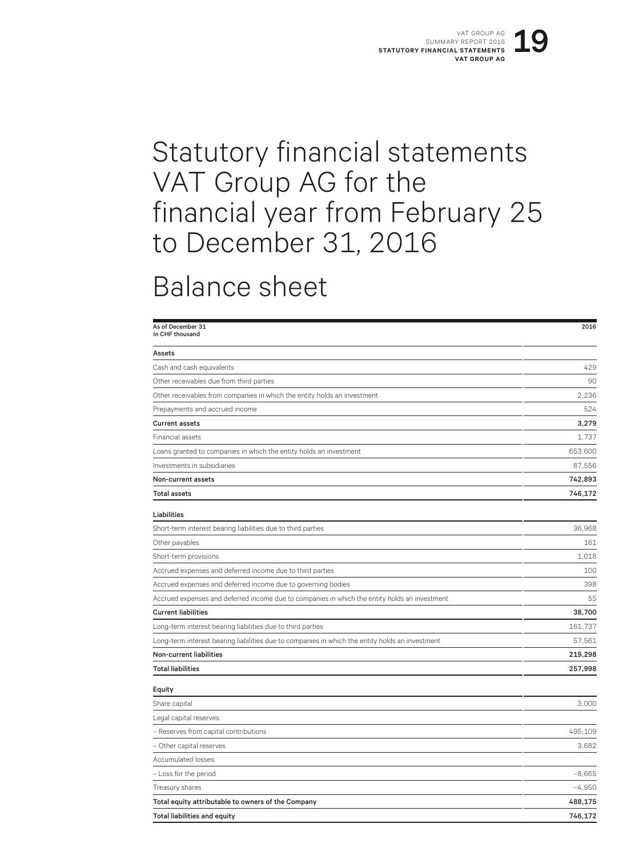## Statutory financial statements VAT Group AG for the financial year from February 25 to December 31, 2016

#### Balance sheet

| As of December 31<br>In CHF thousand                                                            | 2016     |
|-------------------------------------------------------------------------------------------------|----------|
| Assets                                                                                          |          |
| Cash and cash equivalents                                                                       | 429      |
| Other receivables due from third parties                                                        | 90       |
| Other receivables from companies in which the entity holds an investment                        | 2,236    |
| Prepayments and accrued income                                                                  | 524      |
| <b>Current assets</b>                                                                           | 3,279    |
| Financial assets                                                                                | 1.737    |
| Loans granted to companies in which the entity holds an investment                              | 653,600  |
| Investments in subsidiaries                                                                     | 87,556   |
| Non-current assets                                                                              | 742,893  |
| Total assets                                                                                    | 746,172  |
| Liabilities                                                                                     |          |
| Short-term interest bearing liabilities due to third parties                                    | 36.968   |
| Other payables                                                                                  | 161      |
| Short-term provisions                                                                           | 1,018    |
| Accrued expenses and deferred income due to third parties                                       | 100      |
| Accrued expenses and deferred income due to governing bodies                                    | 398      |
| Accrued expenses and deferred income due to companies in which the entity holds an investment   | 55       |
| <b>Current liabilities</b>                                                                      | 38,700   |
| Long-term interest bearing liabilities due to third parties                                     | 161,737  |
| Long-term interest bearing liabilities due to companies in which the entity holds an investment | 57,561   |
| Non-current liabilities                                                                         | 219,298  |
| <b>Total liabilities</b>                                                                        | 257,998  |
| Equity                                                                                          |          |
| Share capital                                                                                   | 3,000    |
| Legal capital reserves:                                                                         |          |
| - Reserves from capital contributions                                                           | 495,109  |
| - Other capital reserves                                                                        | 3.682    |
| Accumulated losses:                                                                             |          |
| - Loss for the period                                                                           | $-8,665$ |
| Treasury shares                                                                                 | $-4,950$ |
| Total equity attributable to owners of the Company                                              | 488,175  |
| <b>Total liabilities and equity</b>                                                             | 746,172  |
|                                                                                                 |          |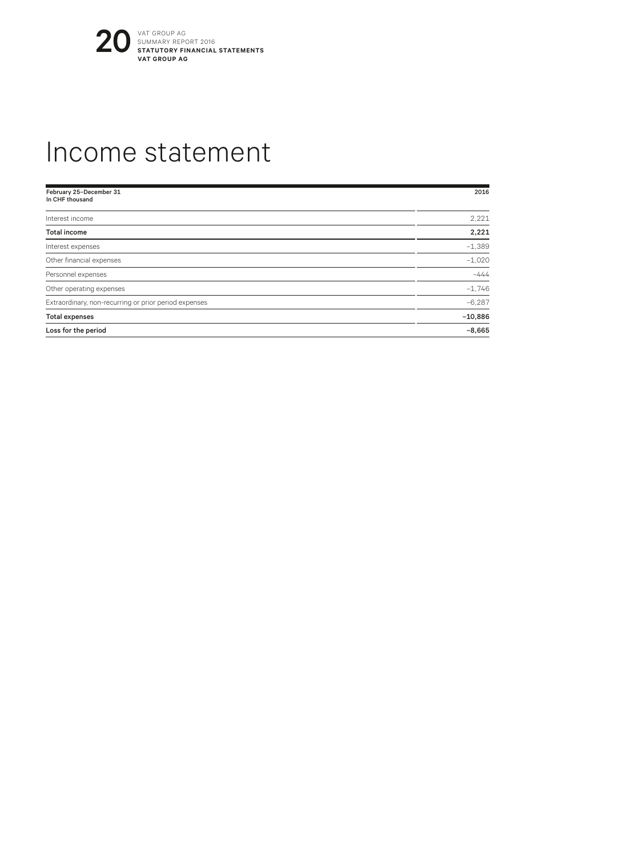

#### Income statement

| February 25-December 31<br>In CHF thousand            | 2016      |
|-------------------------------------------------------|-----------|
|                                                       |           |
| Interest income                                       | 2,221     |
| <b>Total income</b>                                   | 2,221     |
| Interest expenses                                     | $-1,389$  |
| Other financial expenses                              | $-1,020$  |
| Personnel expenses                                    | $-444$    |
| Other operating expenses                              | $-1.746$  |
| Extraordinary, non-recurring or prior period expenses | $-6.287$  |
| <b>Total expenses</b>                                 | $-10,886$ |
| Loss for the period                                   | $-8,665$  |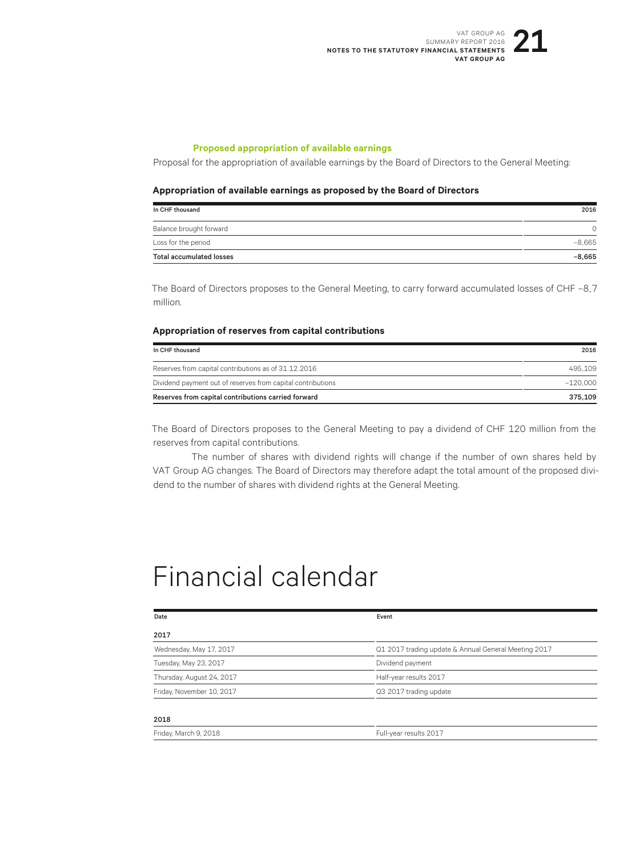#### **Proposed appropriation of available earnings**

Proposal for the appropriation of available earnings by the Board of Directors to the General Meeting:

#### **Appropriation of available earnings as proposed by the Board of Directors**

| In CHF thousand                 | 2016     |
|---------------------------------|----------|
| Balance brought forward         | ∩        |
| Loss for the period             | $-8.665$ |
| <b>Total accumulated losses</b> | $-8,665$ |

The Board of Directors proposes to the General Meeting, to carry forward accumulated losses of CHF –8,7 million.

#### **Appropriation of reserves from capital contributions**

| In CHF thousand                                             | 2016       |
|-------------------------------------------------------------|------------|
| Reserves from capital contributions as of 31.12.2016        | 495 109    |
| Dividend payment out of reserves from capital contributions | $-120.000$ |
| Reserves from capital contributions carried forward         | 375.109    |

The Board of Directors proposes to the General Meeting to pay a dividend of CHF 120 million from the reserves from capital contributions.

The number of shares with dividend rights will change if the number of own shares held by VAT Group AG changes. The Board of Directors may therefore adapt the total amount of the proposed dividend to the number of shares with dividend rights at the General Meeting.

#### Financial calendar

Friday, March 9, 2018 **Full-year results 2017** 

| Date                      | Event                                                |
|---------------------------|------------------------------------------------------|
| 2017                      |                                                      |
| Wednesday, May 17, 2017   | Q1 2017 trading update & Annual General Meeting 2017 |
| Tuesday, May 23, 2017     | Dividend payment                                     |
| Thursday, August 24, 2017 | Half-year results 2017                               |
| Friday, November 10, 2017 | Q3 2017 trading update                               |
|                           |                                                      |
| 2018                      |                                                      |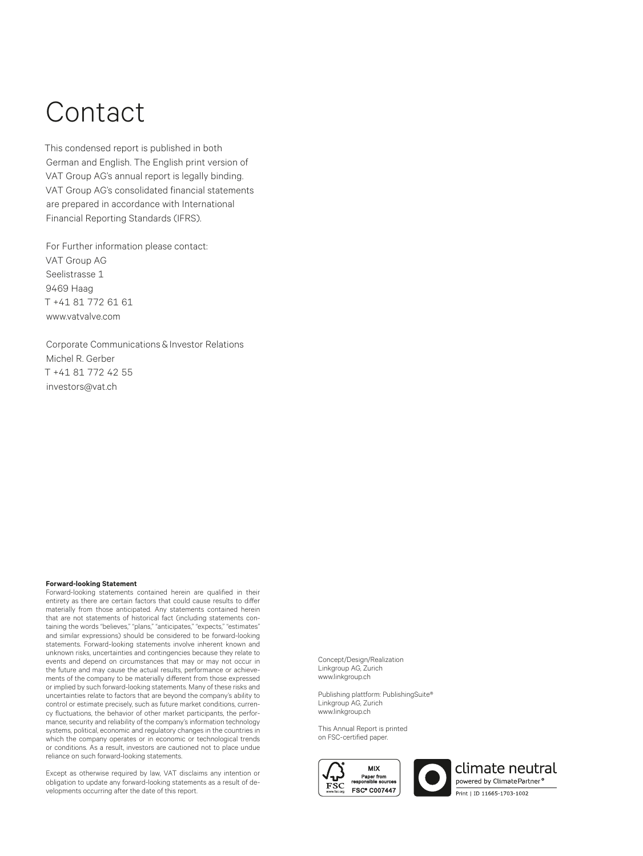## Contact

This condensed report is published in both German and English. The English print version of VAT Group AG's annual report is legally binding. VAT Group AG's consolidated financial statements are prepared in accordance with International Financial Reporting Standards (IFRS).

For Further information please contact: VAT Group AG Seelistrasse 1 9469 Haag T +41 81 772 61 61 www.vatvalve.com

Corporate Communications & Investor Relations Michel R. Gerber T +41 81 772 42 55 investors@vat.ch

#### **Forward-looking Statement**

Forward-looking statements contained herein are qualified in their entirety as there are certain factors that could cause results to differ materially from those anticipated. Any statements contained herein that are not statements of historical fact (including statements containing the words "believes," "plans," "anticipates," "expects," "estimates" and similar expressions) should be considered to be forward-looking statements. Forward-looking statements involve inherent known and unknown risks, uncertainties and contingencies because they relate to events and depend on circumstances that may or may not occur in the future and may cause the actual results, performance or achievements of the company to be materially different from those expressed or implied by such forward-looking statements. Many of these risks and uncertainties relate to factors that are beyond the company's ability to control or estimate precisely, such as future market conditions, currency fluctuations, the behavior of other market participants, the performance, security and reliability of the company's information technology systems, political, economic and regulatory changes in the countries in which the company operates or in economic or technological trends or conditions. As a result, investors are cautioned not to place undue reliance on such forward-looking statements.

Except as otherwise required by law, VAT disclaims any intention or obligation to update any forward-looking statements as a result of developments occurring after the date of this report.

Concept/Design/Realization Linkgroup AG, Zurich www.linkgroup.ch

Publishing plattform: PublishingSuite® Linkgroup AG, Zurich www.linkgroup.ch

This Annual Report is printed on FSC-certified paper.



climate neutral owered by ClimatePartner<sup>o</sup> Print | ID 11665-1703-1002